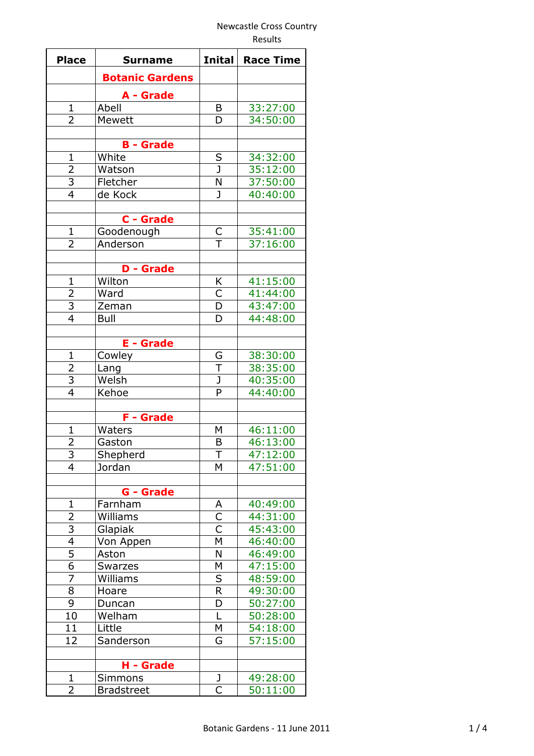Results

| <b>Place</b>            | <b>Surname</b>         | <b>Inital</b>           | <b>Race Time</b> |
|-------------------------|------------------------|-------------------------|------------------|
|                         | <b>Botanic Gardens</b> |                         |                  |
|                         |                        |                         |                  |
|                         | A - Grade              |                         |                  |
| $\mathbf{1}$            | Abell                  | B                       | 33:27:00         |
| $\overline{2}$          | <b>Mewett</b>          | D                       | 34:50:00         |
|                         | <b>B</b> - Grade       |                         |                  |
| $\mathbf{1}$            | White                  | S                       | 34:32:00         |
| $\overline{2}$          | Watson                 | J                       | 35:12:00         |
| $\overline{3}$          | Fletcher               | N                       | 37:50:00         |
| $\overline{4}$          | de Kock                | $\mathbf{J}$            | 40:40:00         |
|                         |                        |                         |                  |
|                         | C - Grade              |                         |                  |
| $\mathbf{1}$            | Goodenough             | C                       | 35:41:00         |
| $\overline{2}$          | Anderson               | $\overline{\top}$       | 37:16:00         |
|                         |                        |                         |                  |
|                         | <b>D</b> - Grade       |                         |                  |
| $\mathbf{1}$            | Wilton                 | Κ                       | 41:15:00         |
| $\overline{2}$          | Ward                   | $\mathsf{C}$            | 41:44:00         |
| $\overline{3}$          | Zeman                  | D                       | 43:47:00         |
| $\overline{4}$          | <b>Bull</b>            | D                       | 44:48:00         |
|                         |                        |                         |                  |
|                         | <b>E</b> - Grade       |                         |                  |
| $\mathbf{1}$            | Cowley                 | G                       | 38:30:00         |
| $\overline{2}$          | Lang                   | T                       | 38:35:00         |
| $\overline{\mathbf{3}}$ | Welsh                  | J                       | 40:35:00         |
| $\overline{4}$          | Kehoe                  | P                       | 44:40:00         |
|                         |                        |                         |                  |
|                         | <b>F</b> - Grade       |                         |                  |
| $\overline{1}$          | Waters                 | Μ                       | 46:11:00         |
| 2                       | Gaston                 | B                       | 46:13:00         |
| 3                       | Shepherd               | Τ                       | 47:12:00         |
| 4                       | Jordan                 | M                       | 47:51:00         |
|                         |                        |                         |                  |
|                         | <b>G</b> - Grade       |                         |                  |
| $\mathbf{1}$            | Farnham                | A                       | 40:49:00         |
| $\overline{2}$          | Williams               | $\overline{\mathsf{C}}$ | 44:31:00         |
| $\overline{3}$          | Glapiak                | $\overline{\mathsf{C}}$ | 45:43:00         |
| $\overline{4}$          | Von Appen              | M                       | 46:40:00         |
| 5                       | Aston                  | N                       | 46:49:00         |
| 6                       | Swarzes                | Μ                       | 47:15:00         |
| 7                       | Williams               | S                       | 48:59:00         |
| 8                       | Hoare                  | $\mathsf R$             | 49:30:00         |
| $\overline{9}$          | Duncan                 | D                       | 50:27:00         |
| 10                      | Welham                 | L                       | 50:28:00         |
| 11                      | Little                 | М                       | 54:18:00         |
| 12                      | Sanderson              | G                       | 57:15:00         |
|                         |                        |                         |                  |
|                         | H - Grade              |                         |                  |
| 1                       | <b>Simmons</b>         | $\frac{1}{C}$           | 49:28:00         |
| $\overline{2}$          | <b>Bradstreet</b>      |                         | 50:11:00         |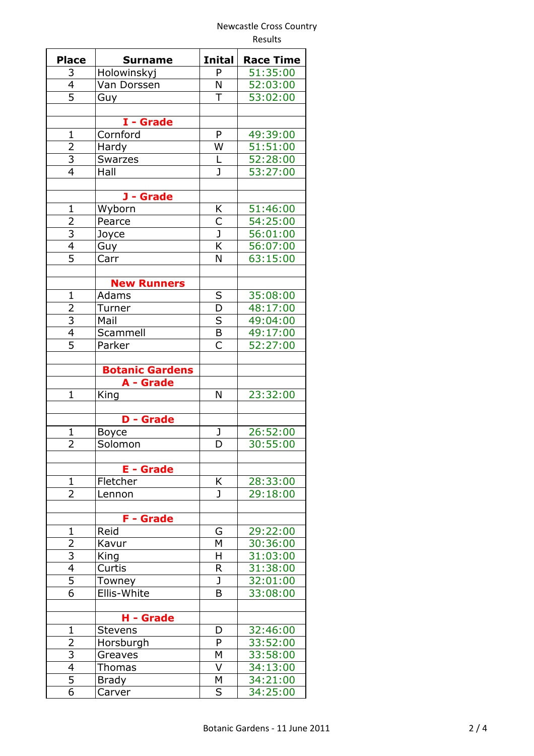|                                  |                                     |                         | Results          |
|----------------------------------|-------------------------------------|-------------------------|------------------|
| <b>Place</b>                     | Surname                             | <b>Inital</b>           | <b>Race Time</b> |
| 3                                | Holowinskyj                         | P                       | 51:35:00         |
| $\overline{4}$                   | Van Dorssen                         | N                       | 52:03:00         |
| $\overline{5}$                   | Guy                                 | T                       | 53:02:00         |
|                                  | I - Grade                           |                         |                  |
| $\mathbf{1}$                     |                                     | P                       |                  |
|                                  | Cornford                            |                         | 49:39:00         |
| $\frac{2}{3}$                    | Hardy                               | W                       | 51:51:00         |
|                                  | <b>Swarzes</b>                      | L                       | 52:28:00         |
| $\overline{4}$                   | Hall                                | J                       | 53:27:00         |
|                                  | J - Grade                           |                         |                  |
| $\mathbf{1}$                     | Wyborn                              | Κ                       | 51:46:00         |
|                                  | Pearce                              | $\overline{\mathsf{C}}$ | 54:25:00         |
| $\frac{2}{3}$ $\frac{4}{5}$      | Joyce                               | $\overline{\mathsf{J}}$ | 56:01:00         |
|                                  | Guy                                 | K                       | 56:07:00         |
|                                  | Carr                                | N                       | 63:15:00         |
|                                  |                                     |                         |                  |
|                                  | <b>New Runners</b>                  |                         |                  |
| $\mathbf{1}$                     | Adams                               | S                       | 35:08:00         |
|                                  | Turner                              | D                       | 48:17:00         |
| $\frac{2}{3}$                    | Mail                                | $\overline{\mathsf{S}}$ | 49:04:00         |
| $\overline{4}$                   | Scammell                            | $\sf B$                 | 49:17:00         |
| $\overline{5}$                   | Parker                              | $\overline{C}$          | 52:27:00         |
|                                  |                                     |                         |                  |
|                                  | <b>Botanic Gardens</b><br>A - Grade |                         |                  |
| $\mathbf{1}$                     | King                                | N                       | 23:32:00         |
|                                  |                                     |                         |                  |
|                                  | <b>D</b> - Grade                    |                         |                  |
| $\mathbf{1}$                     | <b>Boyce</b>                        | J                       | 26:52:00         |
| 2                                | Solomon                             | D                       | 30:55:00         |
|                                  |                                     |                         |                  |
|                                  | <b>E</b> - Grade                    |                         |                  |
| $\mathbf{1}$                     | Fletcher                            | Κ                       | 28:33:00         |
| 2                                | Lennon                              | $\mathbf{J}$            | 29:18:00         |
|                                  | <b>F</b> - Grade                    |                         |                  |
| $\mathbf{1}$                     | Reid                                | G                       | 29:22:00         |
| 2                                | Kavur                               | М                       | 30:36:00         |
| $\overline{3}$                   | King                                | Η                       | 31:03:00         |
| $\overline{4}$                   | Curtis                              | R                       | 31:38:00         |
|                                  |                                     |                         |                  |
| $\overline{5}$<br>$\overline{6}$ | Towney<br>Ellis-White               | J<br>B                  | 32:01:00         |
|                                  |                                     |                         | 33:08:00         |
|                                  | H - Grade                           |                         |                  |
| $\mathbf{1}$                     | <b>Stevens</b>                      | D                       | 32:46:00         |
| $\overline{2}$                   | Horsburgh                           | P                       | 33:52:00         |
| $\overline{3}$                   | Greaves                             | M                       | 33:58:00         |
| 4                                | <b>Thomas</b>                       | V                       | 34:13:00         |
| 5                                | <b>Brady</b>                        | М                       | 34:21:00         |
| 6                                | Carver                              | S                       | 34:25:00         |
|                                  |                                     |                         |                  |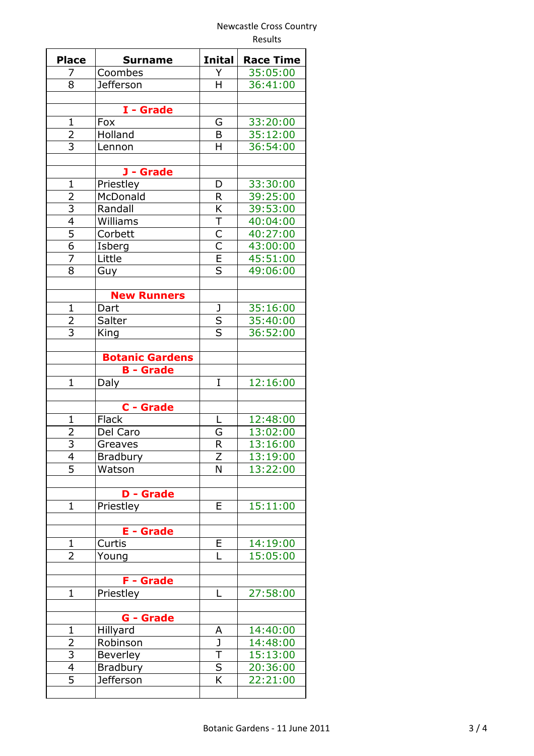|                |                        |                         | <b>Results</b>   |
|----------------|------------------------|-------------------------|------------------|
| <b>Place</b>   | <b>Surname</b>         | <b>Inital</b>           | <b>Race Time</b> |
| 7<br>8         | Coombes                | Y<br>H                  | 35:05:00         |
|                | <b>Jefferson</b>       |                         | 36:41:00         |
|                | I - Grade              |                         |                  |
| $\mathbf{1}$   | Fox                    | G                       | 33:20:00         |
| $\frac{2}{3}$  | Holland                | B                       | 35:12:00         |
|                | Lennon                 | H                       | 36:54:00         |
|                | J - Grade              |                         |                  |
| $\mathbf{1}$   | Priestley              | D                       | 33:30:00         |
| 2              | McDonald               | $\mathsf{R}$            | 39:25:00         |
|                | Randall                | K                       | 39:53:00         |
| $\frac{3}{4}$  | Williams               | Τ                       | 40:04:00         |
|                | Corbett                | $\overline{C}$          | 40:27:00         |
| $\overline{6}$ | Isberg                 | $\overline{\mathsf{C}}$ | 43:00:00         |
| 7              | Little                 | $\overline{\mathsf{E}}$ | 45:51:00         |
| 8              |                        | $\overline{\mathsf{s}}$ |                  |
|                | Guy                    |                         | 49:06:00         |
|                | <b>New Runners</b>     |                         |                  |
| $\mathbf{1}$   | Dart                   | J                       | 35:16:00         |
| $\overline{2}$ | Salter                 | $rac{S}{S}$             | 35:40:00         |
| $\overline{3}$ | King                   |                         | 36:52:00         |
|                | <b>Botanic Gardens</b> |                         |                  |
|                | <b>B</b> - Grade       |                         |                  |
| 1              | Daly                   | I                       | 12:16:00         |
|                | C - Grade              |                         |                  |
| $\mathbf{1}$   |                        | L                       | 12:48:00         |
|                | Flack                  |                         |                  |
| 2              | Del Caro               | G                       | 13:02:00         |
| $\frac{3}{4}$  | Greaves                | R                       | 13:16:00         |
|                | <b>Bradbury</b>        | Ζ                       | 13:19:00         |
| $\overline{5}$ | Watson                 | N                       | 13:22:00         |
|                | <b>D</b> - Grade       |                         |                  |
| $\mathbf 1$    | Priestley              | E                       | 15:11:00         |
|                | <b>E</b> - Grade       |                         |                  |
| $\mathbf{1}$   | Curtis                 | E                       | 14:19:00         |
| 2              | Young                  | L                       | 15:05:00         |
|                |                        |                         |                  |
|                | F - Grade              |                         |                  |
| $\mathbf 1$    | Priestley              | L                       | 27:58:00         |
|                | <b>G</b> - Grade       |                         |                  |
| $\mathbf{1}$   | Hillyard               | A                       | 14:40:00         |
| 2              | Robinson               | J                       | 14:48:00         |
|                | Beverley               | T                       | 15:13:00         |
| $\frac{1}{4}$  | <b>Bradbury</b>        | $\overline{\mathsf{s}}$ | 20:36:00         |
| $\overline{5}$ | <b>Jefferson</b>       | $\overline{\mathsf{K}}$ | 22:21:00         |
|                |                        |                         |                  |

Ξ